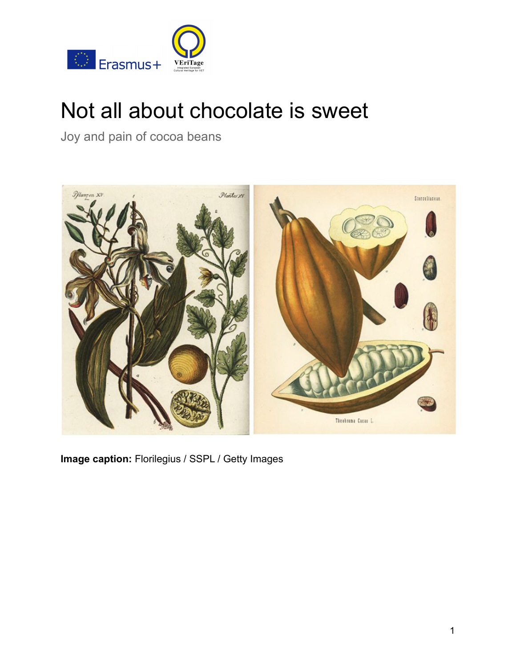

# Not all about chocolate is sweet

Joy and pain of cocoa beans



**Image caption:** Florilegius / SSPL / Getty Images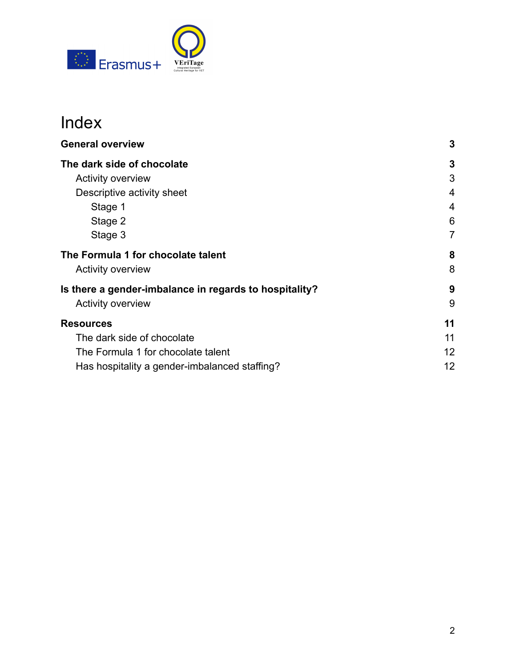

## Index

| <b>General overview</b>                                | 3  |
|--------------------------------------------------------|----|
| The dark side of chocolate                             | 3  |
| <b>Activity overview</b>                               | 3  |
| Descriptive activity sheet                             | 4  |
| Stage 1                                                | 4  |
| Stage 2                                                | 6  |
| Stage 3                                                | 7  |
| The Formula 1 for chocolate talent                     | 8  |
| <b>Activity overview</b>                               | 8  |
| Is there a gender-imbalance in regards to hospitality? | 9  |
| <b>Activity overview</b>                               | 9  |
| <b>Resources</b>                                       | 11 |
| The dark side of chocolate                             | 11 |
| The Formula 1 for chocolate talent                     | 12 |
| Has hospitality a gender-imbalanced staffing?          | 12 |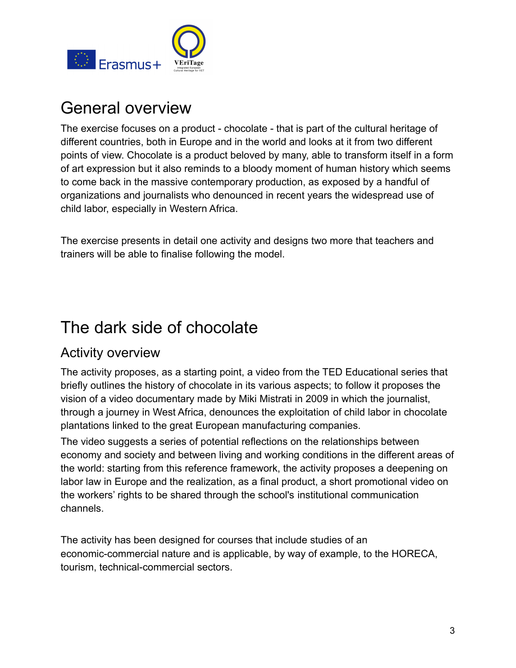

## <span id="page-2-0"></span>General overview

The exercise focuses on a product - chocolate - that is part of the cultural heritage of different countries, both in Europe and in the world and looks at it from two different points of view. Chocolate is a product beloved by many, able to transform itself in a form of art expression but it also reminds to a bloody moment of human history which seems to come back in the massive contemporary production, as exposed by a handful of organizations and journalists who denounced in recent years the widespread use of child labor, especially in Western Africa.

The exercise presents in detail one activity and designs two more that teachers and trainers will be able to finalise following the model.

## <span id="page-2-1"></span>The dark side of chocolate

### <span id="page-2-2"></span>Activity overview

The activity proposes, as a starting point, a video from the TED Educational series that briefly outlines the history of chocolate in its various aspects; to follow it proposes the vision of a video documentary made by Miki Mistrati in 2009 in which the journalist, through a journey in West Africa, denounces the exploitation of child labor in chocolate plantations linked to the great European manufacturing companies.

The video suggests a series of potential reflections on the relationships between economy and society and between living and working conditions in the different areas of the world: starting from this reference framework, the activity proposes a deepening on labor law in Europe and the realization, as a final product, a short promotional video on the workers' rights to be shared through the school's institutional communication channels.

The activity has been designed for courses that include studies of an economic-commercial nature and is applicable, by way of example, to the HORECA, tourism, technical-commercial sectors.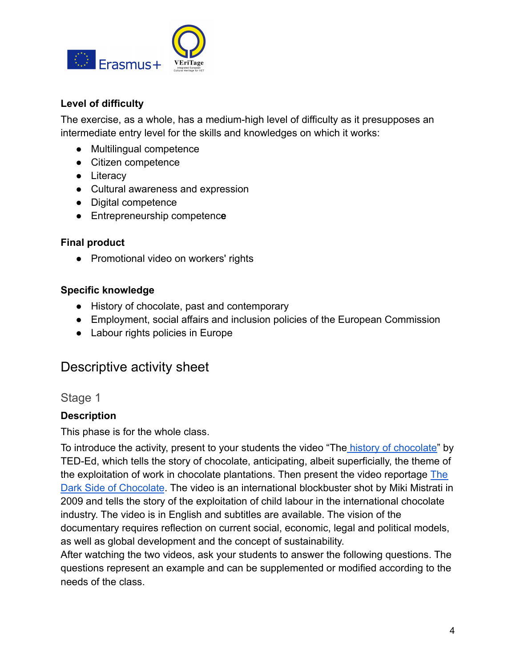

#### **Level of difficulty**

The exercise, as a whole, has a medium-high level of difficulty as it presupposes an intermediate entry level for the skills and knowledges on which it works:

- Multilingual competence
- Citizen competence
- Literacy
- Cultural awareness and expression
- Digital competence
- Entrepreneurship competenc**e**

#### **Final product**

● Promotional video on workers' rights

#### **Specific knowledge**

- History of chocolate, past and contemporary
- Employment, social affairs and inclusion policies of the European Commission
- Labour rights policies in Europe

### <span id="page-3-0"></span>Descriptive activity sheet

#### <span id="page-3-1"></span>Stage 1

#### **Description**

This phase is for the whole class.

To introduce the activity, present to your students the video "The [history of chocolate"](https://ed.ted.com/lessons/the-history-of-chocolate-deanna-pucciarelli) by TED-Ed, which tells the story of chocolate, anticipating, albeit superficially, the theme of the exploitation of work in chocolate plantations. Then present the video reportage [The](https://www.youtube.com/playlist?list=PLF1vSwlD3Dz6fwR6g0sV0M4SPIbhUErSq) [Dark Side of Chocolate](https://www.youtube.com/playlist?list=PLF1vSwlD3Dz6fwR6g0sV0M4SPIbhUErSq). The video is an international blockbuster shot by Miki Mistrati in 2009 and tells the story of the exploitation of child labour in the international chocolate industry. The video is in English and subtitles are available. The vision of the documentary requires reflection on current social, economic, legal and political models, as well as global development and the concept of sustainability.

After watching the two videos, ask your students to answer the following questions. The questions represent an example and can be supplemented or modified according to the needs of the class.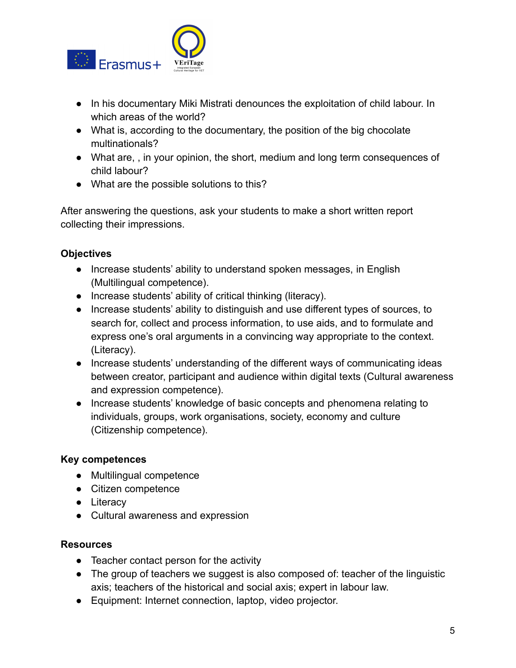

- In his documentary Miki Mistrati denounces the exploitation of child labour. In which areas of the world?
- What is, according to the documentary, the position of the big chocolate multinationals?
- What are, , in your opinion, the short, medium and long term consequences of child labour?
- What are the possible solutions to this?

After answering the questions, ask your students to make a short written report collecting their impressions.

#### **Objectives**

- Increase students' ability to understand spoken messages, in English (Multilingual competence).
- Increase students' ability of critical thinking (literacy).
- Increase students' ability to distinguish and use different types of sources, to search for, collect and process information, to use aids, and to formulate and express one's oral arguments in a convincing way appropriate to the context. (Literacy).
- Increase students' understanding of the different ways of communicating ideas between creator, participant and audience within digital texts (Cultural awareness and expression competence).
- Increase students' knowledge of basic concepts and phenomena relating to individuals, groups, work organisations, society, economy and culture (Citizenship competence).

#### **Key competences**

- Multilingual competence
- Citizen competence
- Literacy
- Cultural awareness and expression

#### **Resources**

- Teacher contact person for the activity
- The group of teachers we suggest is also composed of: teacher of the linguistic axis; teachers of the historical and social axis; expert in labour law.
- Equipment: Internet connection, laptop, video projector.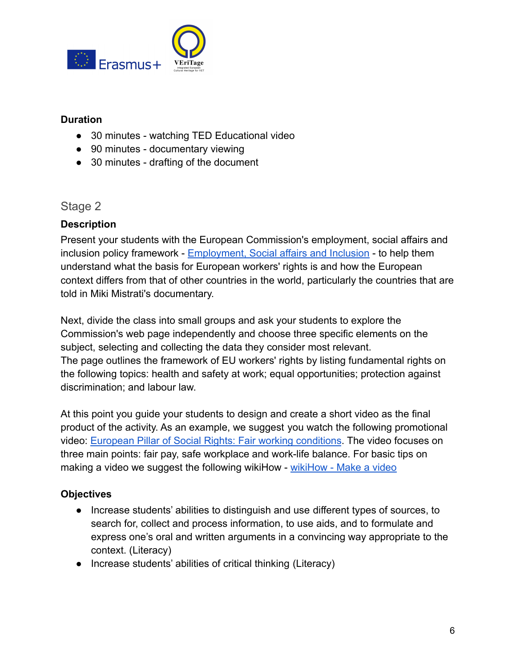

#### **Duration**

- 30 minutes watching TED Educational video
- 90 minutes documentary viewing
- 30 minutes drafting of the document

#### <span id="page-5-0"></span>Stage 2

#### **Description**

Present your students with the European Commission's employment, social affairs and inclusion policy framework - [Employment, Social affairs](https://ec.europa.eu/social/main.jsp?langId=en&catId=82) and Inclusion - to help them understand what the basis for European workers' rights is and how the European context differs from that of other countries in the world, particularly the countries that are told in Miki Mistrati's documentary.

Next, divide the class into small groups and ask your students to explore the Commission's web page independently and choose three specific elements on the subject, selecting and collecting the data they consider most relevant. The page outlines the framework of EU workers' rights by listing fundamental rights on the following topics: health and safety at work; equal opportunities; protection against discrimination; and labour law.

At this point you guide your students to design and create a short video as the final product of the activity. As an example, we suggest you watch the following promotional video: [European Pillar of Social Rights: Fair working](https://www.youtube.com/watch?v=ePfxSgIdYF4) conditions. The video focuses on three main points: fair pay, safe workplace and work-life balance. For basic tips on making a video we suggest the following wikiHow - [wikiHow - Make a video](https://www.wikihow.com/Make-a-Video)

#### **Objectives**

- Increase students' abilities to distinguish and use different types of sources, to search for, collect and process information, to use aids, and to formulate and express one's oral and written arguments in a convincing way appropriate to the context. (Literacy)
- Increase students' abilities of critical thinking (Literacy)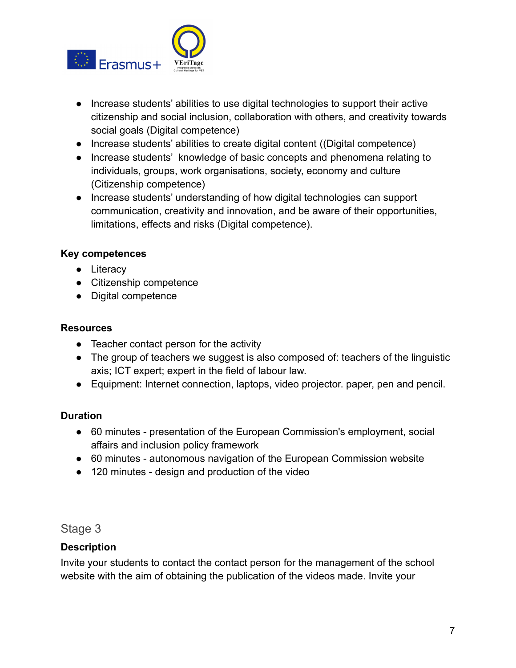

- Increase students' abilities to use digital technologies to support their active citizenship and social inclusion, collaboration with others, and creativity towards social goals (Digital competence)
- Increase students' abilities to create digital content ((Digital competence)
- Increase students' knowledge of basic concepts and phenomena relating to individuals, groups, work organisations, society, economy and culture (Citizenship competence)
- Increase students' understanding of how digital technologies can support communication, creativity and innovation, and be aware of their opportunities, limitations, effects and risks (Digital competence).

#### **Key competences**

- Literacy
- Citizenship competence
- Digital competence

#### **Resources**

- Teacher contact person for the activity
- The group of teachers we suggest is also composed of: teachers of the linguistic axis; ICT expert; expert in the field of labour law.
- Equipment: Internet connection, laptops, video projector. paper, pen and pencil.

#### **Duration**

- 60 minutes presentation of the European Commission's employment, social affairs and inclusion policy framework
- 60 minutes autonomous navigation of the European Commission website
- <span id="page-6-0"></span>● 120 minutes - design and production of the video

#### Stage 3

#### **Description**

Invite your students to contact the contact person for the management of the school website with the aim of obtaining the publication of the videos made. Invite your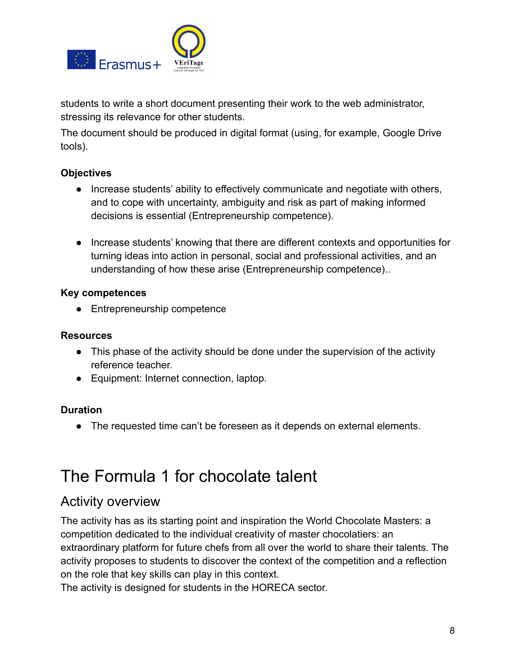

students to write a short document presenting their work to the web administrator, stressing its relevance for other students.

The document should be produced in digital format (using, for example, Google Drive tools).

#### **Objectives**

- Increase students' ability to effectively communicate and negotiate with others, and to cope with uncertainty, ambiguity and risk as part of making informed decisions is essential (Entrepreneurship competence).
- Increase students' knowing that there are different contexts and opportunities for turning ideas into action in personal, social and professional activities, and an understanding of how these arise (Entrepreneurship competence)..

#### **Key competences**

● Entrepreneurship competenc**e**

#### **Resources**

- This phase of the activity should be done under the supervision of the activity reference teacher.
- Equipment: Internet connection, laptop.

#### **Duration**

● The requested time can't be foreseen as it depends on external elements.

## <span id="page-7-0"></span>The Formula 1 for chocolate talent

### <span id="page-7-1"></span>Activity overview

The activity has as its starting point and inspiration the World Chocolate Masters: a competition dedicated to the individual creativity of master chocolatiers: an extraordinary platform for future chefs from all over the world to share their talents. The activity proposes to students to discover the context of the competition and a reflection on the role that key skills can play in this context.

The activity is designed for students in the HORECA sector.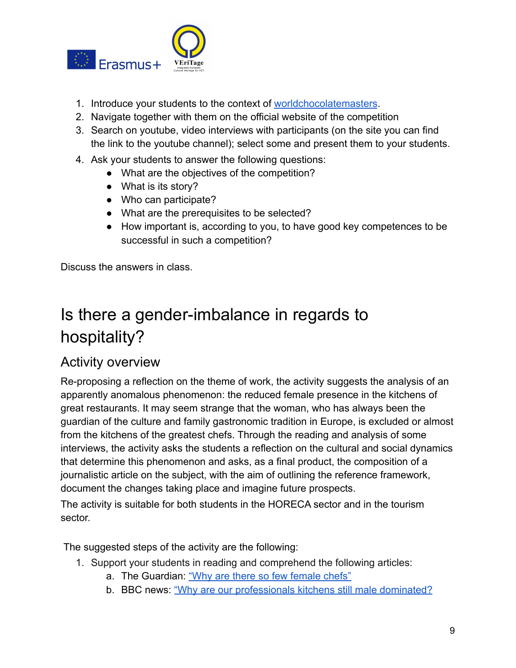

- 1. Introduce your students to the context of [worldchocolatemasters](https://www.worldchocolatemasters.com/).
- 2. Navigate together with them on the official website of the competition
- 3. Search on youtube, video interviews with participants (on the site you can find the link to the youtube channel); select some and present them to your students.
- 4. Ask your students to answer the following questions:
	- What are the objectives of the competition?
	- What is its story?
	- Who can participate?
	- What are the prerequisites to be selected?
	- How important is, according to you, to have good key competences to be successful in such a competition?

Discuss the answers in class.

## <span id="page-8-0"></span>Is there a gender-imbalance in regards to hospitality?

### <span id="page-8-1"></span>Activity overview

Re-proposing a reflection on the theme of work, the activity suggests the analysis of an apparently anomalous phenomenon: the reduced female presence in the kitchens of great restaurants. It may seem strange that the woman, who has always been the guardian of the culture and family gastronomic tradition in Europe, is excluded or almost from the kitchens of the greatest chefs. Through the reading and analysis of some interviews, the activity asks the students a reflection on the cultural and social dynamics that determine this phenomenon and asks, as a final product, the composition of a journalistic article on the subject, with the aim of outlining the reference framework, document the changes taking place and imagine future prospects.

The activity is suitable for both students in the HORECA sector and in the tourism sector.

The suggested steps of the activity are the following:

- 1. Support your students in reading and comprehend the following articles:
	- a. The Guardian: ["Why are there so few female chefs"](https://www.theguardian.com/lifeandstyle/wordofmouth/2016/may/05/why-are-there-so-few-women-chefs)
	- b. BBC news: ["Why are our professionals kitchens still](https://www.bbc.com/news/uk-wales-45486646) male dominated?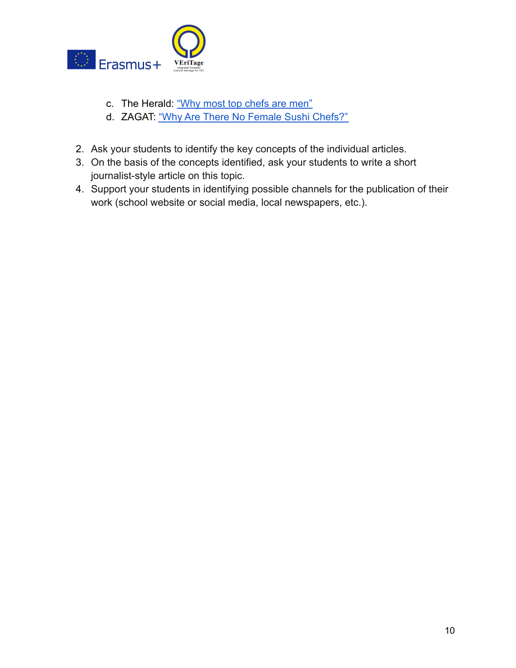

- c. The Herald: ["Why most top chefs are men"](https://www.herald.co.zw/why-most-top-chefs-are-men/)
- d. ZAGAT: ["Why Are There No Female Sushi Chefs?"](https://www.zagat.com/b/why-are-there-no-female-sushi-chefs)
- 2. Ask your students to identify the key concepts of the individual articles.
- 3. On the basis of the concepts identified, ask your students to write a short journalist-style article on this topic.
- 4. Support your students in identifying possible channels for the publication of their work (school website or social media, local newspapers, etc.).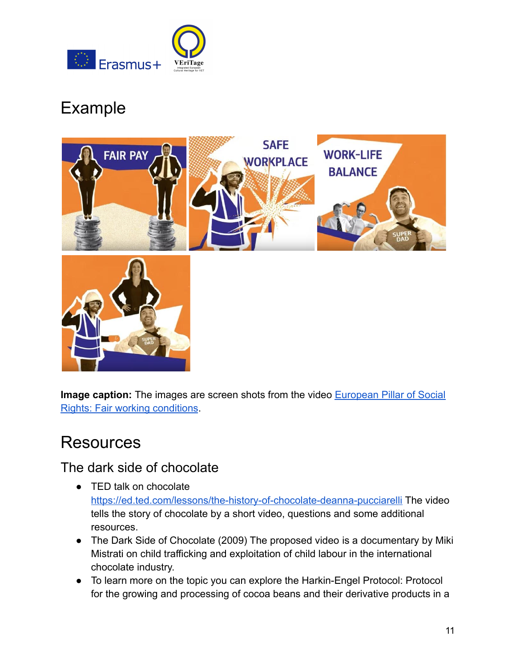

## Example



**Image caption:** The images are screen shots from the video **[European Pillar of Social](https://www.youtube.com/watch?v=ePfxSgIdYF4)** [Rights: Fair working conditions](https://www.youtube.com/watch?v=ePfxSgIdYF4).

## <span id="page-10-0"></span>Resources

### <span id="page-10-1"></span>The dark side of chocolate

- TED talk on chocolate <https://ed.ted.com/lessons/the-history-of-chocolate-deanna-pucciarelli> The video tells the story of chocolate by a short video, questions and some additional resources.
- The Dark Side of Chocolate (2009) The proposed video is a documentary by Miki Mistrati on child trafficking and exploitation of child labour in the international chocolate industry.
- To learn more on the topic you can explore the Harkin-Engel Protocol: Protocol for the growing and processing of cocoa beans and their derivative products in a